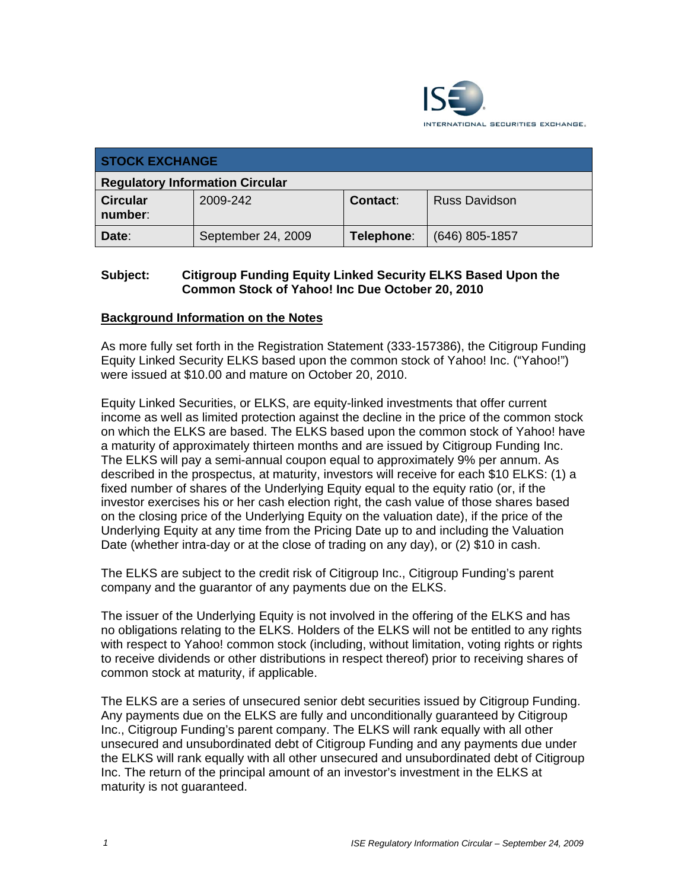

| <b>STOCK EXCHANGE</b>                  |                    |                 |                      |  |
|----------------------------------------|--------------------|-----------------|----------------------|--|
| <b>Regulatory Information Circular</b> |                    |                 |                      |  |
| <b>Circular</b><br>number:             | 2009-242           | <b>Contact:</b> | <b>Russ Davidson</b> |  |
| Date:                                  | September 24, 2009 | Telephone:      | $(646)$ 805-1857     |  |

## **Subject: Citigroup Funding Equity Linked Security ELKS Based Upon the Common Stock of Yahoo! Inc Due October 20, 2010**

### **Background Information on the Notes**

As more fully set forth in the Registration Statement (333-157386), the Citigroup Funding Equity Linked Security ELKS based upon the common stock of Yahoo! Inc. ("Yahoo!") were issued at \$10.00 and mature on October 20, 2010.

Equity Linked Securities, or ELKS, are equity-linked investments that offer current income as well as limited protection against the decline in the price of the common stock on which the ELKS are based. The ELKS based upon the common stock of Yahoo! have a maturity of approximately thirteen months and are issued by Citigroup Funding Inc. The ELKS will pay a semi-annual coupon equal to approximately 9% per annum. As described in the prospectus, at maturity, investors will receive for each \$10 ELKS: (1) a fixed number of shares of the Underlying Equity equal to the equity ratio (or, if the investor exercises his or her cash election right, the cash value of those shares based on the closing price of the Underlying Equity on the valuation date), if the price of the Underlying Equity at any time from the Pricing Date up to and including the Valuation Date (whether intra-day or at the close of trading on any day), or (2) \$10 in cash.

The ELKS are subject to the credit risk of Citigroup Inc., Citigroup Funding's parent company and the guarantor of any payments due on the ELKS.

The issuer of the Underlying Equity is not involved in the offering of the ELKS and has no obligations relating to the ELKS. Holders of the ELKS will not be entitled to any rights with respect to Yahoo! common stock (including, without limitation, voting rights or rights to receive dividends or other distributions in respect thereof) prior to receiving shares of common stock at maturity, if applicable.

The ELKS are a series of unsecured senior debt securities issued by Citigroup Funding. Any payments due on the ELKS are fully and unconditionally guaranteed by Citigroup Inc., Citigroup Funding's parent company. The ELKS will rank equally with all other unsecured and unsubordinated debt of Citigroup Funding and any payments due under the ELKS will rank equally with all other unsecured and unsubordinated debt of Citigroup Inc. The return of the principal amount of an investor's investment in the ELKS at maturity is not guaranteed.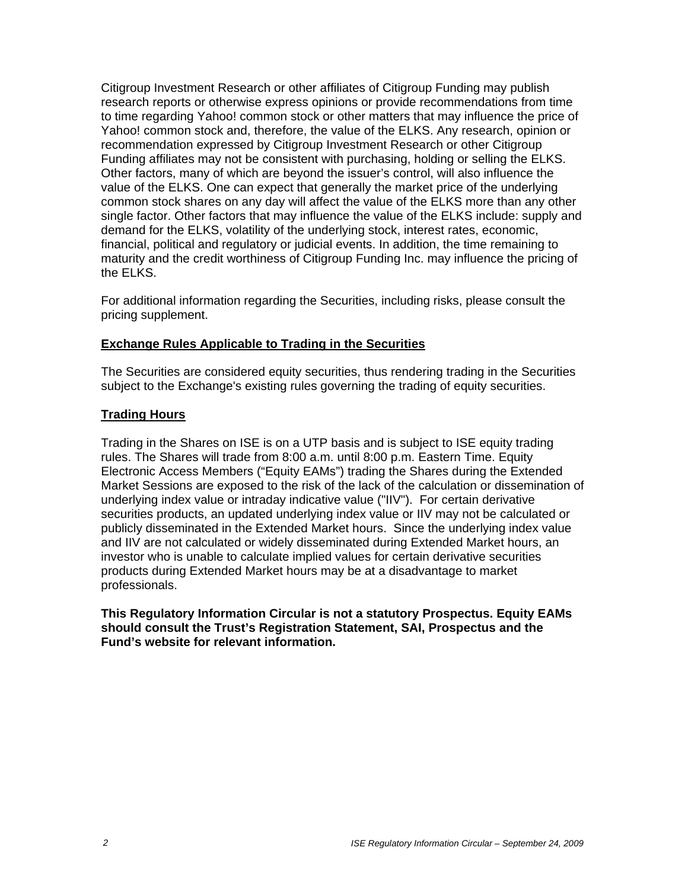Citigroup Investment Research or other affiliates of Citigroup Funding may publish research reports or otherwise express opinions or provide recommendations from time to time regarding Yahoo! common stock or other matters that may influence the price of Yahoo! common stock and, therefore, the value of the ELKS. Any research, opinion or recommendation expressed by Citigroup Investment Research or other Citigroup Funding affiliates may not be consistent with purchasing, holding or selling the ELKS. Other factors, many of which are beyond the issuer's control, will also influence the value of the ELKS. One can expect that generally the market price of the underlying common stock shares on any day will affect the value of the ELKS more than any other single factor. Other factors that may influence the value of the ELKS include: supply and demand for the ELKS, volatility of the underlying stock, interest rates, economic, financial, political and regulatory or judicial events. In addition, the time remaining to maturity and the credit worthiness of Citigroup Funding Inc. may influence the pricing of the ELKS.

For additional information regarding the Securities, including risks, please consult the pricing supplement.

#### **Exchange Rules Applicable to Trading in the Securities**

The Securities are considered equity securities, thus rendering trading in the Securities subject to the Exchange's existing rules governing the trading of equity securities.

#### **Trading Hours**

Trading in the Shares on ISE is on a UTP basis and is subject to ISE equity trading rules. The Shares will trade from 8:00 a.m. until 8:00 p.m. Eastern Time. Equity Electronic Access Members ("Equity EAMs") trading the Shares during the Extended Market Sessions are exposed to the risk of the lack of the calculation or dissemination of underlying index value or intraday indicative value ("IIV"). For certain derivative securities products, an updated underlying index value or IIV may not be calculated or publicly disseminated in the Extended Market hours. Since the underlying index value and IIV are not calculated or widely disseminated during Extended Market hours, an investor who is unable to calculate implied values for certain derivative securities products during Extended Market hours may be at a disadvantage to market professionals.

**This Regulatory Information Circular is not a statutory Prospectus. Equity EAMs should consult the Trust's Registration Statement, SAI, Prospectus and the Fund's website for relevant information.**